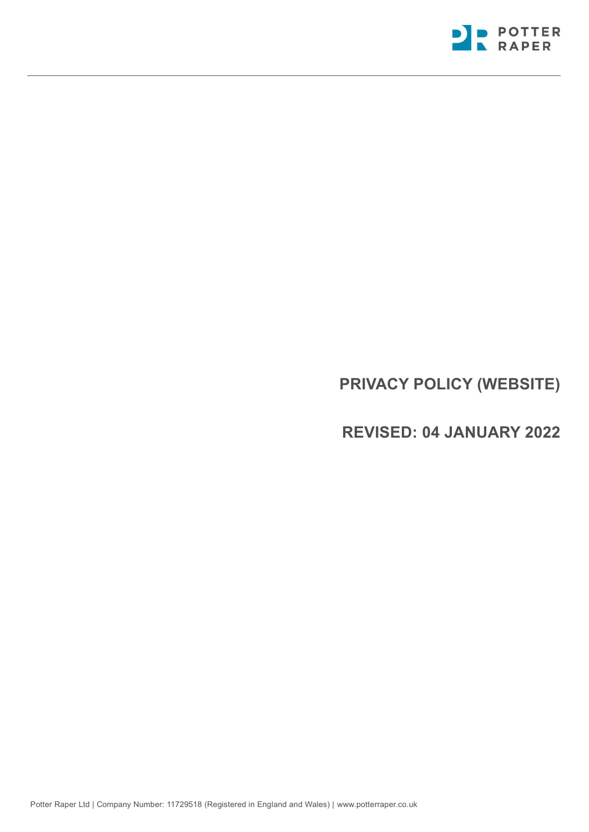

# **PRIVACY POLICY (WEBSITE)**

# **REVISED: 04 JANUARY 2022**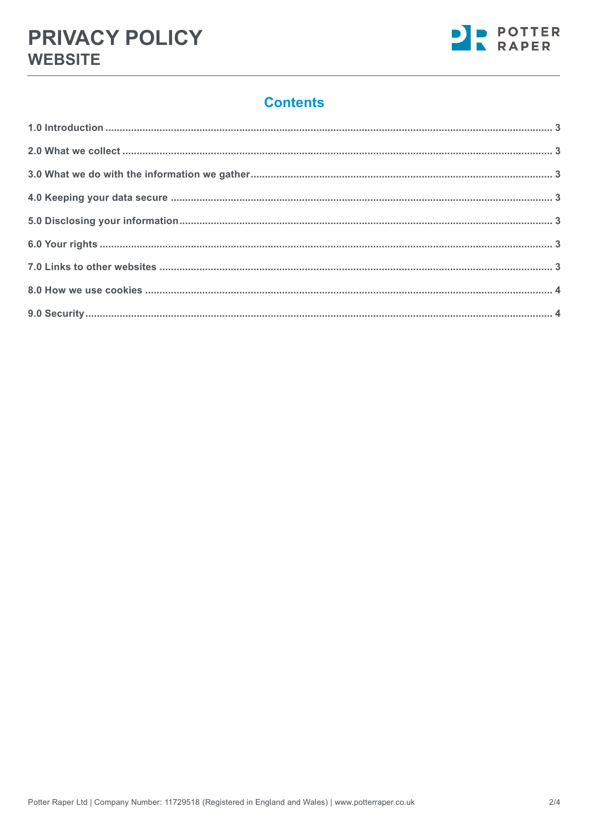# **Contents**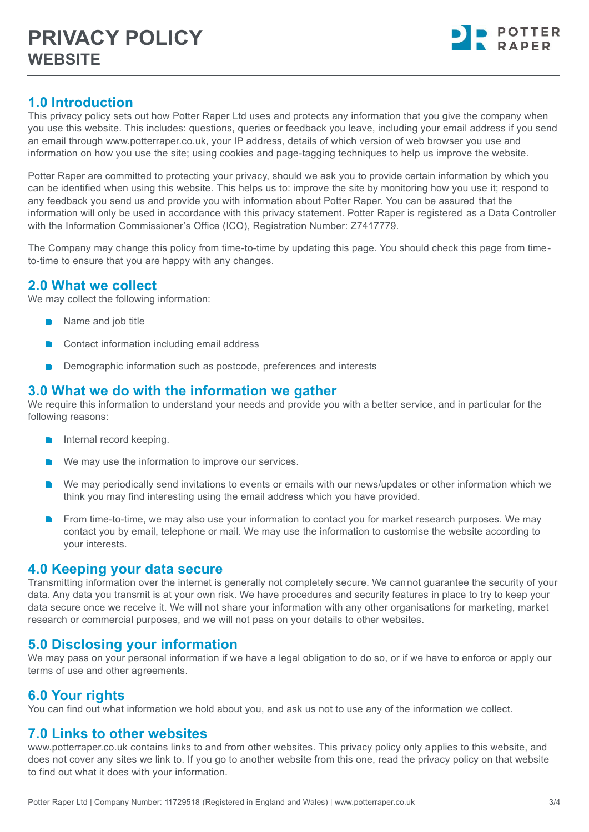

# <span id="page-2-0"></span>**1.0 Introduction**

This privacy policy sets out how Potter Raper Ltd uses and protects any information that you give the company when you use this website. This includes: questions, queries or feedback you leave, including your email address if you send an email through www.potterraper.co.uk, your IP address, details of which version of web browser you use and information on how you use the site; using cookies and page-tagging techniques to help us improve the website.

Potter Raper are committed to protecting your privacy, should we ask you to provide certain information by which you can be identified when using this website. This helps us to: improve the site by monitoring how you use it; respond to any feedback you send us and provide you with information about Potter Raper. You can be assured that the information will only be used in accordance with this privacy statement. Potter Raper is registered as a Data Controller with the Information Commissioner's Office (ICO), Registration Number: Z7417779.

The Company may change this policy from time-to-time by updating this page. You should check this page from timeto-time to ensure that you are happy with any changes.

# <span id="page-2-1"></span>**2.0 What we collect**

We may collect the following information:

- **Name and job title**
- Contact information including email address
- Demographic information such as postcode, preferences and interests

### <span id="page-2-2"></span>**3.0 What we do with the information we gather**

We require this information to understand your needs and provide you with a better service, and in particular for the following reasons:

- $\blacksquare$  Internal record keeping.
- We may use the information to improve our services.
- We may periodically send invitations to events or emails with our news/updates or other information which we think you may find interesting using the email address which you have provided.
- From time-to-time, we may also use your information to contact you for market research purposes. We may contact you by email, telephone or mail. We may use the information to customise the website according to your interests.

#### <span id="page-2-3"></span>**4.0 Keeping your data secure**

Transmitting information over the internet is generally not completely secure. We cannot guarantee the security of your data. Any data you transmit is at your own risk. We have procedures and security features in place to try to keep your data secure once we receive it. We will not share your information with any other organisations for marketing, market research or commercial purposes, and we will not pass on your details to other websites.

# <span id="page-2-4"></span>**5.0 Disclosing your information**

We may pass on your personal information if we have a legal obligation to do so, or if we have to enforce or apply our terms of use and other agreements.

# <span id="page-2-5"></span>**6.0 Your rights**

You can find out what information we hold about you, and ask us not to use any of the information we collect.

#### <span id="page-2-6"></span>**7.0 Links to other websites**

www.potterraper.co.uk contains links to and from other websites. This privacy policy only applies to this website, and does not cover any sites we link to. If you go to another website from this one, read the privacy policy on that website to find out what it does with your information.